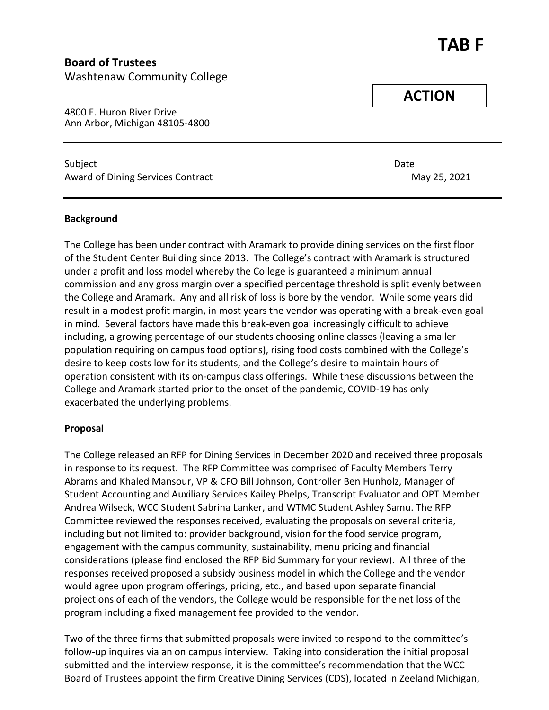# **TAB F**

### **Board of Trustees** Washtenaw Community College

4800 E. Huron River Drive Ann Arbor, Michigan 48105-4800

Subject Date Award of Dining Services Contract May 25, 2021

**Background**

The College has been under contract with Aramark to provide dining services on the first floor of the Student Center Building since 2013. The College's contract with Aramark is structured under a profit and loss model whereby the College is guaranteed a minimum annual commission and any gross margin over a specified percentage threshold is split evenly between the College and Aramark. Any and all risk of loss is bore by the vendor. While some years did result in a modest profit margin, in most years the vendor was operating with a break-even goal in mind. Several factors have made this break-even goal increasingly difficult to achieve including, a growing percentage of our students choosing online classes (leaving a smaller population requiring on campus food options), rising food costs combined with the College's desire to keep costs low for its students, and the College's desire to maintain hours of operation consistent with its on-campus class offerings. While these discussions between the College and Aramark started prior to the onset of the pandemic, COVID-19 has only exacerbated the underlying problems.

#### **Proposal**

The College released an RFP for Dining Services in December 2020 and received three proposals in response to its request. The RFP Committee was comprised of Faculty Members Terry Abrams and Khaled Mansour, VP & CFO Bill Johnson, Controller Ben Hunholz, Manager of Student Accounting and Auxiliary Services Kailey Phelps, Transcript Evaluator and OPT Member Andrea Wilseck, WCC Student Sabrina Lanker, and WTMC Student Ashley Samu. The RFP Committee reviewed the responses received, evaluating the proposals on several criteria, including but not limited to: provider background, vision for the food service program, engagement with the campus community, sustainability, menu pricing and financial considerations (please find enclosed the RFP Bid Summary for your review). All three of the responses received proposed a subsidy business model in which the College and the vendor would agree upon program offerings, pricing, etc., and based upon separate financial projections of each of the vendors, the College would be responsible for the net loss of the program including a fixed management fee provided to the vendor.

Two of the three firms that submitted proposals were invited to respond to the committee's follow-up inquires via an on campus interview. Taking into consideration the initial proposal submitted and the interview response, it is the committee's recommendation that the WCC Board of Trustees appoint the firm Creative Dining Services (CDS), located in Zeeland Michigan,

**ACTION**